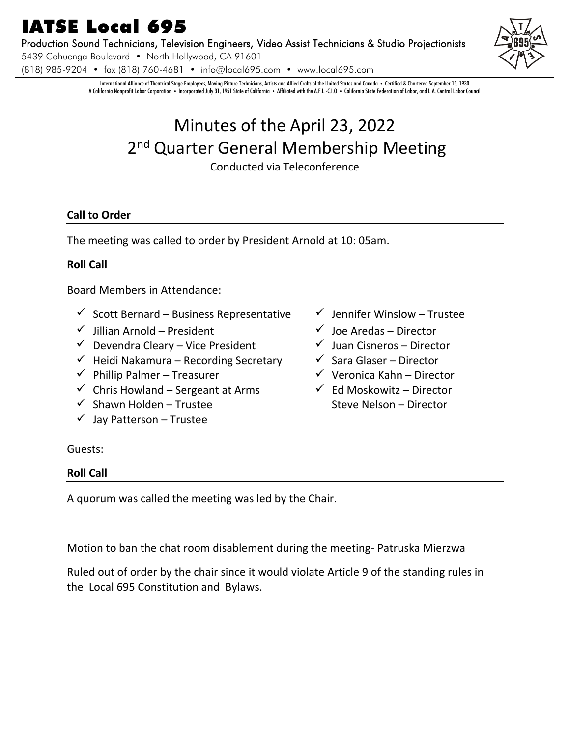# IATSE Local 695

Production Sound Technicians, Television Engineers, Video Assist Technicians & Studio Projectionists

5439 Cahuenga Boulevard • North Hollywood, CA 91601

(818) 985-9204 • fax (818) 760-4681 • info@local695.com • www.local695.com

International Alliance of Theatrical Stage Employees, Moving Picture Technicians, Artists and Allied Crafts of the United States and Canada • Certified & Chartered September 15, 1930 A California Nonprofit Labor Corporation • Incorporated July 31, 1951 State of California • Affiliated with the A.F.L.-C.I.O • California State Federation of Labor, and L.A. Central Labor Council

# Minutes of the April 23, 2022 2<sup>nd</sup> Quarter General Membership Meeting

Conducted via Teleconference

# **Call to Order**

The meeting was called to order by President Arnold at 10: 05am.

# **Roll Call**

Board Members in Attendance:

- ✓ Scott Bernard Business Representative ✓ Jennifer Winslow Trustee
- ✓ Jillian Arnold President ✓ Joe Aredas Director
- ✓ Devendra Cleary Vice President ✓ Juan Cisneros Director
- $\checkmark$  Heidi Nakamura Recording Secretary  $\checkmark$  Sara Glaser Director
- ✓ Phillip Palmer Treasurer ✓ Veronica Kahn Director
- $\checkmark$  Chris Howland Sergeant at Arms  $\checkmark$  Ed Moskowitz Director
- $\checkmark$  Shawn Holden Trustee Steve Nelson Director
- $\checkmark$  Jay Patterson Trustee
- 
- 
- 
- 
- 
- 

Guests:

# **Roll Call**

A quorum was called the meeting was led by the Chair.

Motion to ban the chat room disablement during the meeting- Patruska Mierzwa

Ruled out of order by the chair since it would violate Article 9 of the standing rules in the Local 695 Constitution and Bylaws.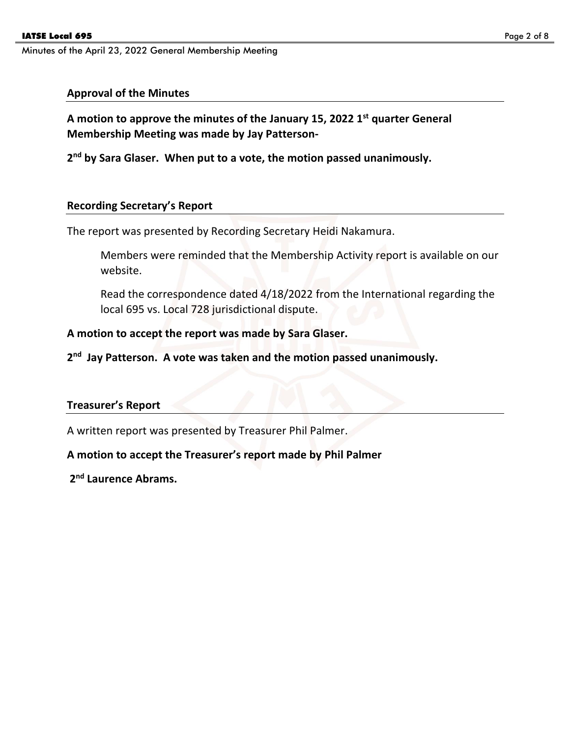#### **Approval of the Minutes**

**A motion to approve the minutes of the January 15, 2022 1st quarter General Membership Meeting was made by Jay Patterson-**

**2 nd by Sara Glaser. When put to a vote, the motion passed unanimously.**

#### **Recording Secretary's Report**

The report was presented by Recording Secretary Heidi Nakamura.

Members were reminded that the Membership Activity report is available on our website.

Read the correspondence dated 4/18/2022 from the International regarding the local 695 vs. Local 728 jurisdictional dispute.

#### **A motion to accept the report was made by Sara Glaser.**

2<sup>nd</sup> Jay Patterson. A vote was taken and the motion passed unanimously.

#### **Treasurer's Report**

A written report was presented by Treasurer Phil Palmer.

#### **A motion to accept the Treasurer's report made by Phil Palmer**

**2 nd Laurence Abrams.**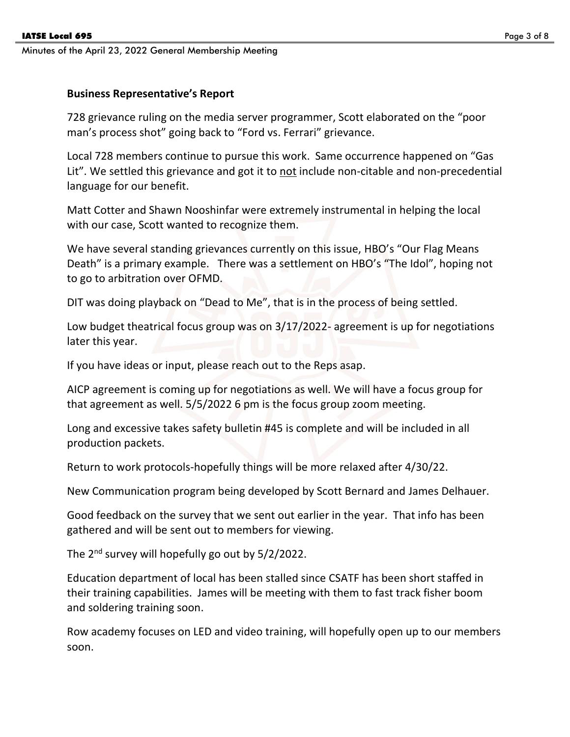#### **Business Representative's Report**

728 grievance ruling on the media server programmer, Scott elaborated on the "poor man's process shot" going back to "Ford vs. Ferrari" grievance.

Local 728 members continue to pursue this work. Same occurrence happened on "Gas Lit". We settled this grievance and got it to not include non-citable and non-precedential language for our benefit.

Matt Cotter and Shawn Nooshinfar were extremely instrumental in helping the local with our case, Scott wanted to recognize them.

We have several standing grievances currently on this issue, HBO's "Our Flag Means Death" is a primary example. There was a settlement on HBO's "The Idol", hoping not to go to arbitration over OFMD.

DIT was doing playback on "Dead to Me", that is in the process of being settled.

Low budget theatrical focus group was on 3/17/2022- agreement is up for negotiations later this year.

If you have ideas or input, please reach out to the Reps asap.

AICP agreement is coming up for negotiations as well. We will have a focus group for that agreement as well. 5/5/2022 6 pm is the focus group zoom meeting.

Long and excessive takes safety bulletin #45 is complete and will be included in all production packets.

Return to work protocols-hopefully things will be more relaxed after 4/30/22.

New Communication program being developed by Scott Bernard and James Delhauer.

Good feedback on the survey that we sent out earlier in the year. That info has been gathered and will be sent out to members for viewing.

The 2<sup>nd</sup> survey will hopefully go out by 5/2/2022.

Education department of local has been stalled since CSATF has been short staffed in their training capabilities. James will be meeting with them to fast track fisher boom and soldering training soon.

Row academy focuses on LED and video training, will hopefully open up to our members soon.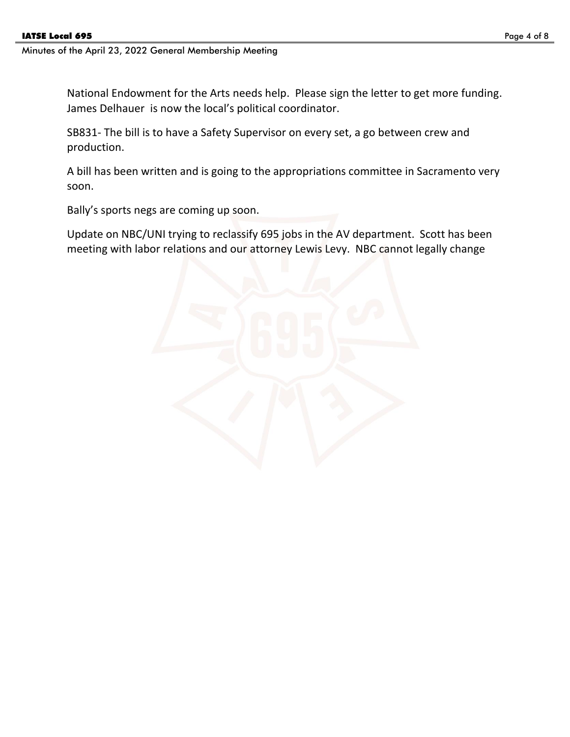National Endowment for the Arts needs help. Please sign the letter to get more funding. James Delhauer is now the local's political coordinator.

SB831- The bill is to have a Safety Supervisor on every set, a go between crew and production.

A bill has been written and is going to the appropriations committee in Sacramento very soon.

Bally's sports negs are coming up soon.

Update on NBC/UNI trying to reclassify 695 jobs in the AV department. Scott has been meeting with labor relations and our attorney Lewis Levy. NBC cannot legally change

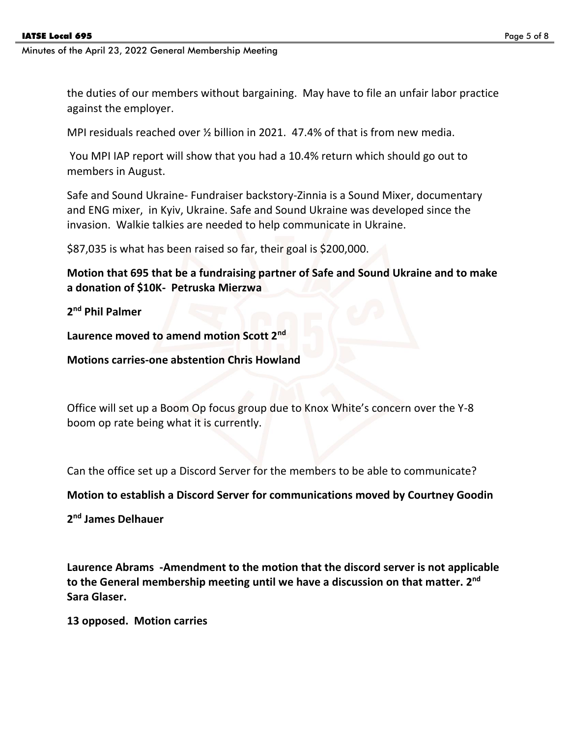the duties of our members without bargaining. May have to file an unfair labor practice against the employer.

MPI residuals reached over ½ billion in 2021. 47.4% of that is from new media.

You MPI IAP report will show that you had a 10.4% return which should go out to members in August.

Safe and Sound Ukraine- Fundraiser backstory-Zinnia is a Sound Mixer, documentary and ENG mixer, in Kyiv, Ukraine. Safe and Sound Ukraine was developed since the invasion. Walkie talkies are needed to help communicate in Ukraine.

\$87,035 is what has been raised so far, their goal is \$200,000.

**Motion that 695 that be a fundraising partner of Safe and Sound Ukraine and to make a donation of \$10K- Petruska Mierzwa**

**2 nd Phil Palmer**

**Laurence moved to amend motion Scott 2nd**

**Motions carries-one abstention Chris Howland**

Office will set up a Boom Op focus group due to Knox White's concern over the Y-8 boom op rate being what it is currently.

Can the office set up a Discord Server for the members to be able to communicate?

**Motion to establish a Discord Server for communications moved by Courtney Goodin** 

**2 nd James Delhauer**

**Laurence Abrams -Amendment to the motion that the discord server is not applicable to the General membership meeting until we have a discussion on that matter. 2 nd Sara Glaser.**

**13 opposed. Motion carries**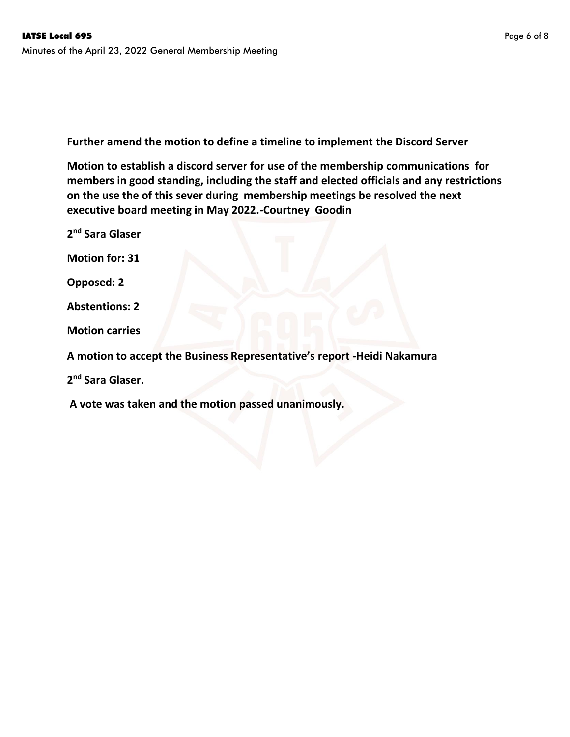**Further amend the motion to define a timeline to implement the Discord Server**

**Motion to establish a discord server for use of the membership communications for members in good standing, including the staff and elected officials and any restrictions on the use the of this sever during membership meetings be resolved the next executive board meeting in May 2022.-Courtney Goodin**

**2 nd Sara Glaser**

**Motion for: 31** 

**Opposed: 2**

**Abstentions: 2**

**Motion carries**

**A motion to accept the Business Representative's report -Heidi Nakamura**

**2 nd Sara Glaser.** 

**A vote was taken and the motion passed unanimously.**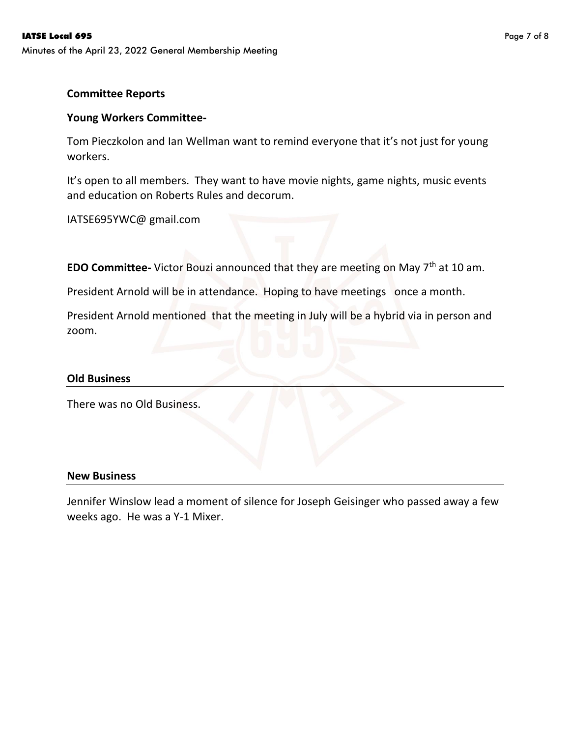#### **Committee Reports**

#### **Young Workers Committee-**

Tom Pieczkolon and Ian Wellman want to remind everyone that it's not just for young workers.

It's open to all members. They want to have movie nights, game nights, music events and education on Roberts Rules and decorum.

IATSE695YWC@ gmail.com

**EDO Committee-** Victor Bouzi announced that they are meeting on May 7<sup>th</sup> at 10 am.

President Arnold will be in attendance. Hoping to have meetings once a month.

President Arnold mentioned that the meeting in July will be a hybrid via in person and zoom.

#### **Old Business**

There was no Old Business.

#### **New Business**

Jennifer Winslow lead a moment of silence for Joseph Geisinger who passed away a few weeks ago. He was a Y-1 Mixer.